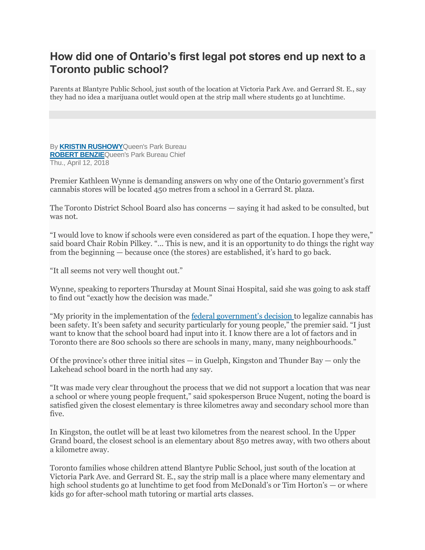## **How did one of Ontario's first legal pot stores end up next to a Toronto public school?**

Parents at Blantyre Public School, just south of the location at Victoria Park Ave. and Gerrard St. E., say they had no idea a marijuana outlet would open at the strip mall where students go at lunchtime.

By **[KRISTIN RUSHOWY](https://www.thestar.com/authors.rushowy_kris.html)**Queen's Park Bureau **[ROBERT BENZIE](https://www.thestar.com/authors.benzie_rob.html)**Queen's Park Bureau Chief Thu., April 12, 2018

Premier Kathleen Wynne is demanding answers on why one of the Ontario government's first cannabis stores will be located 450 metres from a school in a Gerrard St. plaza.

The Toronto District School Board also has concerns — saying it had asked to be consulted, but was not.

"I would love to know if schools were even considered as part of the equation. I hope they were," said board Chair Robin Pilkey. "... This is new, and it is an opportunity to do things the right way from the beginning — because once (the stores) are established, it's hard to go back.

"It all seems not very well thought out."

Wynne, speaking to reporters Thursday at Mount Sinai Hospital, said she was going to ask staff to find out "exactly how the decision was made."

"My priority in the implementation of the [federal government's decision](https://www.thestar.com/topic.marijuana.html) to legalize cannabis has been safety. It's been safety and security particularly for young people," the premier said. "I just want to know that the school board had input into it. I know there are a lot of factors and in Toronto there are 800 schools so there are schools in many, many, many neighbourhoods."

Of the province's other three initial sites  $-$  in Guelph, Kingston and Thunder Bay  $-$  only the Lakehead school board in the north had any say.

"It was made very clear throughout the process that we did not support a location that was near a school or where young people frequent," said spokesperson Bruce Nugent, noting the board is satisfied given the closest elementary is three kilometres away and secondary school more than five.

In Kingston, the outlet will be at least two kilometres from the nearest school. In the Upper Grand board, the closest school is an elementary about 850 metres away, with two others about a kilometre away.

Toronto families whose children attend Blantyre Public School, just south of the location at Victoria Park Ave. and Gerrard St. E., say the strip mall is a place where many elementary and high school students go at lunchtime to get food from McDonald's or Tim Horton's — or where kids go for after-school math tutoring or martial arts classes.